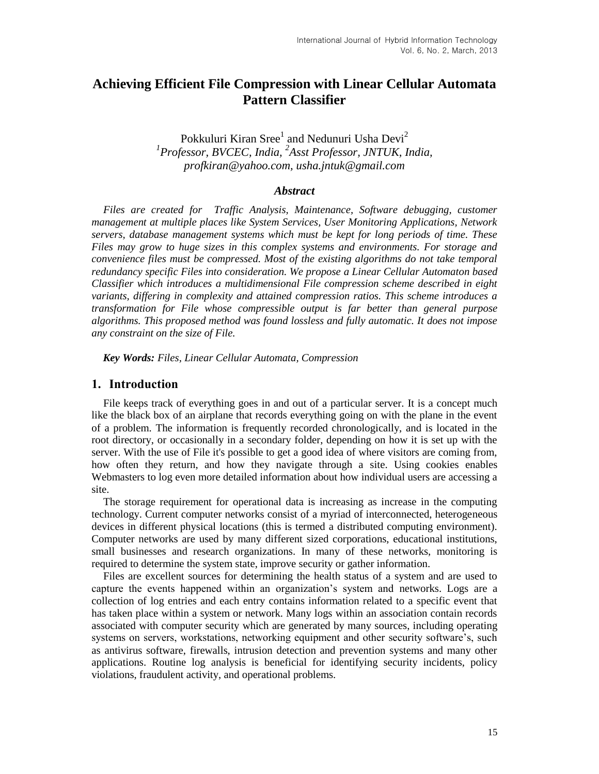# **Achieving Efficient File Compression with Linear Cellular Automata Pattern Classifier**

Pokkuluri Kiran Sree $^{\rm l}$  and Nedunuri Usha Devi $^{\rm 2}$ *1 Professor, BVCEC, India, <sup>2</sup> Asst Professor, JNTUK, India, profkiran@yahoo.com, usha.jntuk@gmail.com*

#### *Abstract*

*Files are created for Traffic Analysis, Maintenance, Software debugging, customer management at multiple places like System Services, User Monitoring Applications, Network servers, database management systems which must be kept for long periods of time. These Files may grow to huge sizes in this complex systems and environments. For storage and convenience files must be compressed. Most of the existing algorithms do not take temporal redundancy specific Files into consideration. We propose a Linear Cellular Automaton based Classifier which introduces a multidimensional File compression scheme described in eight variants, differing in complexity and attained compression ratios. This scheme introduces a transformation for File whose compressible output is far better than general purpose algorithms. This proposed method was found lossless and fully automatic. It does not impose any constraint on the size of File.*

*Key Words: Files, Linear Cellular Automata, Compression*

#### **1. Introduction**

File keeps track of everything goes in and out of a particular server. It is a concept much like the black box of an airplane that records everything going on with the plane in the event of a problem. The information is frequently recorded chronologically, and is located in the root directory, or occasionally in a secondary folder, depending on how it is set up with the server. With the use of File it's possible to get a good idea of where visitors are coming from, how often they return, and how they navigate through a [site.](http://www.webopedia.com/TERM/W/web_site.html) Using [cookies](http://www.webopedia.com/TERM/C/cookie.html) enables [Webmasters](http://www.webopedia.com/TERM/W/Webmaster.html) to [log](http://www.webopedia.com/TERM/L/log.html) even more detailed information about how individual users are accessing a site.

The storage requirement for operational data is increasing as increase in the computing technology. Current computer networks consist of a myriad of interconnected, heterogeneous devices in different physical locations (this is termed a distributed computing environment). Computer networks are used by many different sized corporations, educational institutions, small businesses and research organizations. In many of these networks, monitoring is required to determine the system state, improve security or gather information.

Files are excellent sources for determining the health status of a system and are used to capture the events happened within an organization's system and networks. Logs are a collection of log entries and each entry contains information related to a specific event that has taken place within a system or network. Many logs within an association contain records associated with computer security which are generated by many sources, including operating systems on servers, workstations, networking equipment and other security software's, such as antivirus software, firewalls, intrusion detection and prevention systems and many other applications. Routine log analysis is beneficial for identifying security incidents, policy violations, fraudulent activity, and operational problems.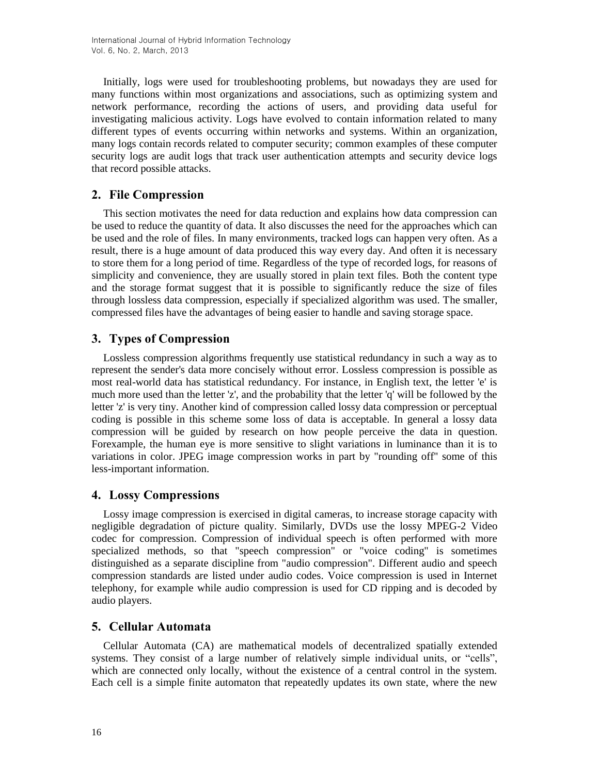Initially, logs were used for troubleshooting problems, but nowadays they are used for many functions within most organizations and associations, such as optimizing system and network performance, recording the actions of users, and providing data useful for investigating malicious activity. Logs have evolved to contain information related to many different types of events occurring within networks and systems. Within an organization, many logs contain records related to computer security; common examples of these computer security logs are audit logs that track user authentication attempts and security device logs that record possible attacks.

## **2. File Compression**

This section motivates the need for data reduction and explains how data compression can be used to reduce the quantity of data. It also discusses the need for the approaches which can be used and the role of files. In many environments, tracked logs can happen very often. As a result, there is a huge amount of data produced this way every day. And often it is necessary to store them for a long period of time. Regardless of the type of recorded logs, for reasons of simplicity and convenience, they are usually stored in plain text files. Both the content type and the storage format suggest that it is possible to significantly reduce the size of files through lossless data compression, especially if specialized algorithm was used. The smaller, compressed files have the advantages of being easier to handle and saving storage space.

## **3. Types of Compression**

Lossless compression algorithms frequently use statistical redundancy in such a way as to represent the sender's data more concisely without error. Lossless compression is possible as most real-world data has statistical redundancy. For instance, in English text, the letter 'e' is much more used than the letter 'z', and the probability that the letter 'q' will be followed by the letter 'z' is very tiny. Another kind of compression called lossy data compression or perceptual coding is possible in this scheme some loss of data is acceptable. In general a lossy data compression will be guided by research on how people perceive the data in question. Forexample, the human eye is more sensitive to slight variations in luminance than it is to variations in color. JPEG image compression works in part by "rounding off" some of this less-important information.

## **4. Lossy Compressions**

Lossy image compression is exercised in digital cameras, to increase storage capacity with negligible degradation of picture quality. Similarly, DVDs use the lossy MPEG-2 Video codec for compression. Compression of individual speech is often performed with more specialized methods, so that "speech compression" or "voice coding" is sometimes distinguished as a separate discipline from "audio compression". Different audio and speech compression standards are listed under audio codes. Voice compression is used in Internet telephony, for example while audio compression is used for CD ripping and is decoded by audio players.

## **5. Cellular Automata**

Cellular Automata (CA) are mathematical models of decentralized spatially extended systems. They consist of a large number of relatively simple individual units, or "cells", which are connected only locally, without the existence of a central control in the system. Each cell is a simple finite automaton that repeatedly updates its own state, where the new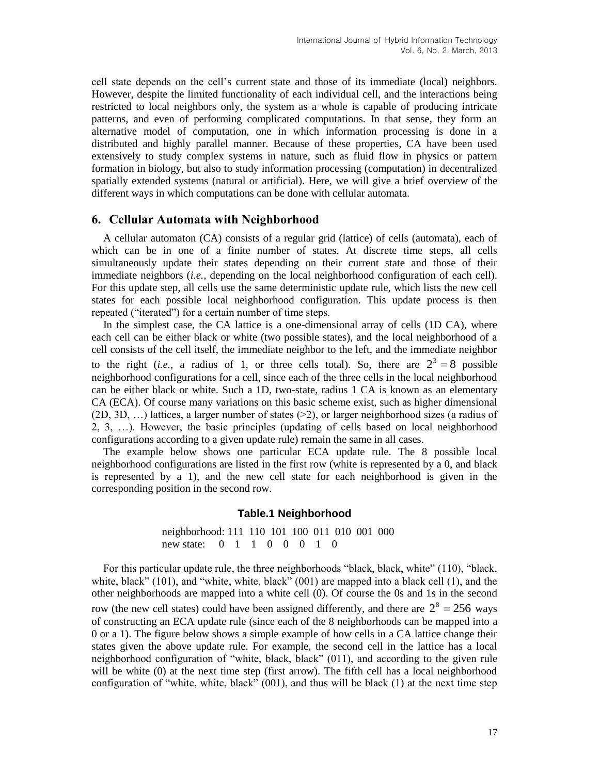cell state depends on the cell's current state and those of its immediate (local) neighbors. However, despite the limited functionality of each individual cell, and the interactions being restricted to local neighbors only, the system as a whole is capable of producing intricate patterns, and even of performing complicated computations. In that sense, they form an alternative model of computation, one in which information processing is done in a distributed and highly parallel manner. Because of these properties, CA have been used extensively to study complex systems in nature, such as fluid flow in physics or pattern formation in biology, but also to study information processing (computation) in decentralized spatially extended systems (natural or artificial). Here, we will give a brief overview of the different ways in which computations can be done with cellular automata.

### **6. Cellular Automata with Neighborhood**

A cellular automaton (CA) consists of a regular grid (lattice) of cells (automata), each of which can be in one of a finite number of states. At discrete time steps, all cells simultaneously update their states depending on their current state and those of their immediate neighbors (*i.e.*, depending on the local neighborhood configuration of each cell). For this update step, all cells use the same deterministic update rule, which lists the new cell states for each possible local neighborhood configuration. This update process is then repeated ("iterated") for a certain number of time steps.

In the simplest case, the CA lattice is a one-dimensional array of cells (1D CA), where each cell can be either black or white (two possible states), and the local neighborhood of a cell consists of the cell itself, the immediate neighbor to the left, and the immediate neighbor to the right (*i.e.*, a radius of 1, or three cells total). So, there are  $2^3 = 8$  possible neighborhood configurations for a cell, since each of the three cells in the local neighborhood can be either black or white. Such a 1D, two-state, radius 1 CA is known as an elementary CA (ECA). Of course many variations on this basic scheme exist, such as higher dimensional (2D, 3D, …) lattices, a larger number of states (>2), or larger neighborhood sizes (a radius of 2, 3, …). However, the basic principles (updating of cells based on local neighborhood configurations according to a given update rule) remain the same in all cases.

The example below shows one particular ECA update rule. The 8 possible local neighborhood configurations are listed in the first row (white is represented by a 0, and black is represented by a 1), and the new cell state for each neighborhood is given in the corresponding position in the second row.

#### **Table.1 Neighborhood**

neighborhood: 111 110 101 100 011 010 001 000 new state: 0 1 1 0 0 0 1 0

For this particular update rule, the three neighborhoods "black, black, white" (110), "black, white, black" (101), and "white, white, black" (001) are mapped into a black cell (1), and the other neighborhoods are mapped into a white cell (0). Of course the 0s and 1s in the second row (the new cell states) could have been assigned differently, and there are  $2^8 = 256$  ways of constructing an ECA update rule (since each of the 8 neighborhoods can be mapped into a 0 or a 1). The figure below shows a simple example of how cells in a CA lattice change their states given the above update rule. For example, the second cell in the lattice has a local neighborhood configuration of "white, black, black" (011), and according to the given rule will be white (0) at the next time step (first arrow). The fifth cell has a local neighborhood configuration of "white, white, black"  $(001)$ , and thus will be black  $(1)$  at the next time step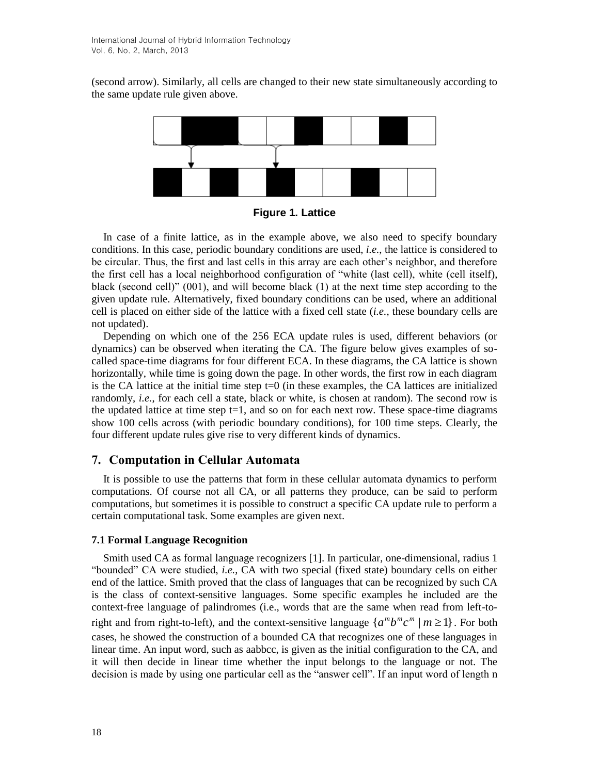(second arrow). Similarly, all cells are changed to their new state simultaneously according to the same update rule given above.



**Figure 1. Lattice**

In case of a finite lattice, as in the example above, we also need to specify boundary conditions. In this case, periodic boundary conditions are used, *i.e.*, the lattice is considered to be circular. Thus, the first and last cells in this array are each other's neighbor, and therefore the first cell has a local neighborhood configuration of "white (last cell), white (cell itself), black (second cell)" (001), and will become black (1) at the next time step according to the given update rule. Alternatively, fixed boundary conditions can be used, where an additional cell is placed on either side of the lattice with a fixed cell state (*i.e.*, these boundary cells are not updated).

Depending on which one of the 256 ECA update rules is used, different behaviors (or dynamics) can be observed when iterating the CA. The figure below gives examples of socalled space-time diagrams for four different ECA. In these diagrams, the CA lattice is shown horizontally, while time is going down the page. In other words, the first row in each diagram is the CA lattice at the initial time step  $t=0$  (in these examples, the CA lattices are initialized randomly, *i.e.*, for each cell a state, black or white, is chosen at random). The second row is the updated lattice at time step  $t=1$ , and so on for each next row. These space-time diagrams show 100 cells across (with periodic boundary conditions), for 100 time steps. Clearly, the four different update rules give rise to very different kinds of dynamics.

## **7. Computation in Cellular Automata**

It is possible to use the patterns that form in these cellular automata dynamics to perform computations. Of course not all CA, or all patterns they produce, can be said to perform computations, but sometimes it is possible to construct a specific CA update rule to perform a certain computational task. Some examples are given next.

#### **7.1 Formal Language Recognition**

Smith used CA as formal language recognizers [1]. In particular, one-dimensional, radius 1 "bounded" CA were studied, *i.e.*, CA with two special (fixed state) boundary cells on either end of the lattice. Smith proved that the class of languages that can be recognized by such CA is the class of context-sensitive languages. Some specific examples he included are the context-free language of palindromes (i.e., words that are the same when read from left-toright and from right-to-left), and the context-sensitive language  $\{a^m b^m c^m \mid m \ge 1\}$ . For both cases, he showed the construction of a bounded CA that recognizes one of these languages in linear time. An input word, such as aabbcc, is given as the initial configuration to the CA, and it will then decide in linear time whether the input belongs to the language or not. The decision is made by using one particular cell as the "answer cell". If an input word of length n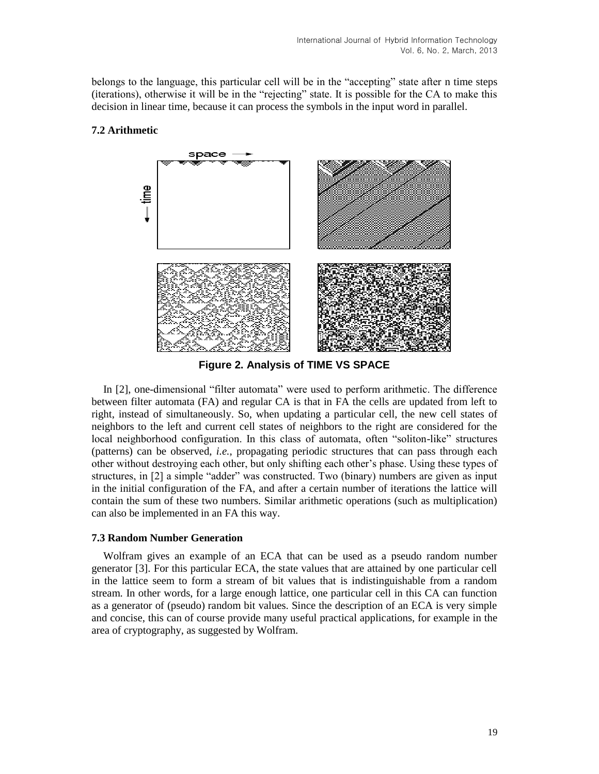belongs to the language, this particular cell will be in the "accepting" state after n time steps (iterations), otherwise it will be in the "rejecting" state. It is possible for the CA to make this decision in linear time, because it can process the symbols in the input word in parallel.



## **7.2 Arithmetic**

**Figure 2. Analysis of TIME VS SPACE**

In [2], one-dimensional "filter automata" were used to perform arithmetic. The difference between filter automata (FA) and regular CA is that in FA the cells are updated from left to right, instead of simultaneously. So, when updating a particular cell, the new cell states of neighbors to the left and current cell states of neighbors to the right are considered for the local neighborhood configuration. In this class of automata, often "soliton-like" structures (patterns) can be observed, *i.e.*, propagating periodic structures that can pass through each other without destroying each other, but only shifting each other's phase. Using these types of structures, in [2] a simple "adder" was constructed. Two (binary) numbers are given as input in the initial configuration of the FA, and after a certain number of iterations the lattice will contain the sum of these two numbers. Similar arithmetic operations (such as multiplication) can also be implemented in an FA this way.

#### **7.3 Random Number Generation**

Wolfram gives an example of an ECA that can be used as a pseudo random number generator [3]. For this particular ECA, the state values that are attained by one particular cell in the lattice seem to form a stream of bit values that is indistinguishable from a random stream. In other words, for a large enough lattice, one particular cell in this CA can function as a generator of (pseudo) random bit values. Since the description of an ECA is very simple and concise, this can of course provide many useful practical applications, for example in the area of cryptography, as suggested by Wolfram.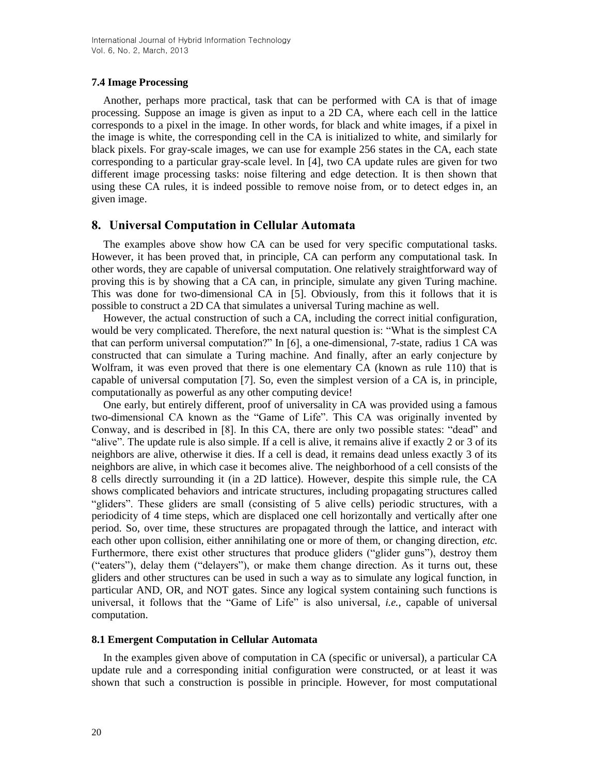#### **7.4 Image Processing**

Another, perhaps more practical, task that can be performed with CA is that of image processing. Suppose an image is given as input to a 2D CA, where each cell in the lattice corresponds to a pixel in the image. In other words, for black and white images, if a pixel in the image is white, the corresponding cell in the CA is initialized to white, and similarly for black pixels. For gray-scale images, we can use for example 256 states in the CA, each state corresponding to a particular gray-scale level. In [4], two CA update rules are given for two different image processing tasks: noise filtering and edge detection. It is then shown that using these CA rules, it is indeed possible to remove noise from, or to detect edges in, an given image.

## **8. Universal Computation in Cellular Automata**

The examples above show how CA can be used for very specific computational tasks. However, it has been proved that, in principle, CA can perform any computational task. In other words, they are capable of universal computation. One relatively straightforward way of proving this is by showing that a CA can, in principle, simulate any given Turing machine. This was done for two-dimensional CA in [5]. Obviously, from this it follows that it is possible to construct a 2D CA that simulates a universal Turing machine as well.

However, the actual construction of such a CA, including the correct initial configuration, would be very complicated. Therefore, the next natural question is: "What is the simplest CA that can perform universal computation?" In [6], a one-dimensional, 7-state, radius 1 CA was constructed that can simulate a Turing machine. And finally, after an early conjecture by Wolfram, it was even proved that there is one elementary CA (known as rule 110) that is capable of universal computation [7]. So, even the simplest version of a CA is, in principle, computationally as powerful as any other computing device!

One early, but entirely different, proof of universality in CA was provided using a famous two-dimensional CA known as the "Game of Life". This CA was originally invented by Conway, and is described in [8]. In this CA, there are only two possible states: "dead" and "alive". The update rule is also simple. If a cell is alive, it remains alive if exactly 2 or 3 of its neighbors are alive, otherwise it dies. If a cell is dead, it remains dead unless exactly 3 of its neighbors are alive, in which case it becomes alive. The neighborhood of a cell consists of the 8 cells directly surrounding it (in a 2D lattice). However, despite this simple rule, the CA shows complicated behaviors and intricate structures, including propagating structures called "gliders". These gliders are small (consisting of 5 alive cells) periodic structures, with a periodicity of 4 time steps, which are displaced one cell horizontally and vertically after one period. So, over time, these structures are propagated through the lattice, and interact with each other upon collision, either annihilating one or more of them, or changing direction, *etc.* Furthermore, there exist other structures that produce gliders ("glider guns"), destroy them ("eaters"), delay them ("delayers"), or make them change direction. As it turns out, these gliders and other structures can be used in such a way as to simulate any logical function, in particular AND, OR, and NOT gates. Since any logical system containing such functions is universal, it follows that the "Game of Life" is also universal, *i.e.*, capable of universal computation.

#### **8.1 Emergent Computation in Cellular Automata**

In the examples given above of computation in CA (specific or universal), a particular CA update rule and a corresponding initial configuration were constructed, or at least it was shown that such a construction is possible in principle. However, for most computational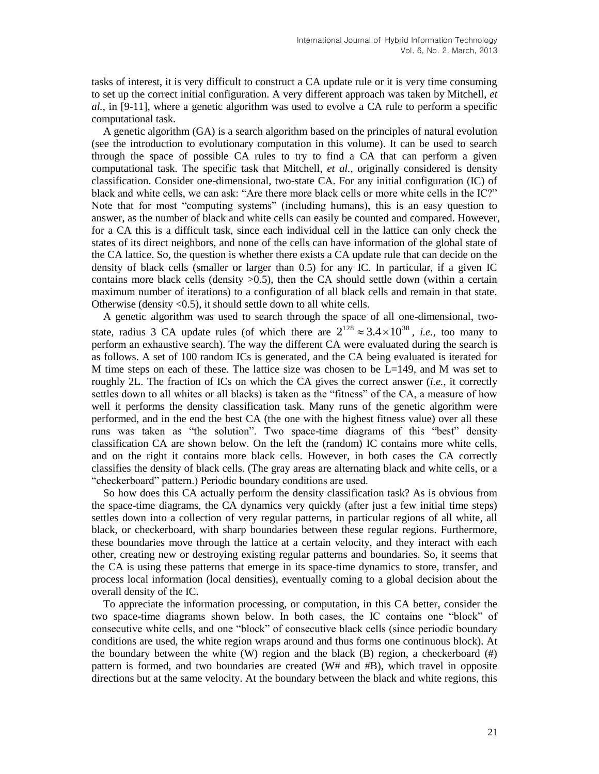tasks of interest, it is very difficult to construct a CA update rule or it is very time consuming to set up the correct initial configuration. A very different approach was taken by Mitchell, *et al.*, in [9-11], where a genetic algorithm was used to evolve a CA rule to perform a specific computational task.

A genetic algorithm (GA) is a search algorithm based on the principles of natural evolution (see the introduction to evolutionary computation in this volume). It can be used to search through the space of possible CA rules to try to find a CA that can perform a given computational task. The specific task that Mitchell, *et al.*, originally considered is density classification. Consider one-dimensional, two-state CA. For any initial configuration (IC) of black and white cells, we can ask: "Are there more black cells or more white cells in the IC?" Note that for most "computing systems" (including humans), this is an easy question to answer, as the number of black and white cells can easily be counted and compared. However, for a CA this is a difficult task, since each individual cell in the lattice can only check the states of its direct neighbors, and none of the cells can have information of the global state of the CA lattice. So, the question is whether there exists a CA update rule that can decide on the density of black cells (smaller or larger than 0.5) for any IC. In particular, if a given IC contains more black cells (density >0.5), then the CA should settle down (within a certain maximum number of iterations) to a configuration of all black cells and remain in that state. Otherwise (density <0.5), it should settle down to all white cells.

A genetic algorithm was used to search through the space of all one-dimensional, twostate, radius 3 CA update rules (of which there are  $2^{128} \approx 3.4 \times 10^{38}$ , *i.e.*, too many to perform an exhaustive search). The way the different CA were evaluated during the search is as follows. A set of 100 random ICs is generated, and the CA being evaluated is iterated for M time steps on each of these. The lattice size was chosen to be  $L=149$ , and M was set to roughly 2L. The fraction of ICs on which the CA gives the correct answer (*i.e.*, it correctly settles down to all whites or all blacks) is taken as the "fitness" of the CA, a measure of how well it performs the density classification task. Many runs of the genetic algorithm were performed, and in the end the best CA (the one with the highest fitness value) over all these runs was taken as "the solution". Two space-time diagrams of this "best" density classification CA are shown below. On the left the (random) IC contains more white cells, and on the right it contains more black cells. However, in both cases the CA correctly classifies the density of black cells. (The gray areas are alternating black and white cells, or a "checkerboard" pattern.) Periodic boundary conditions are used.

So how does this CA actually perform the density classification task? As is obvious from the space-time diagrams, the CA dynamics very quickly (after just a few initial time steps) settles down into a collection of very regular patterns, in particular regions of all white, all black, or checkerboard, with sharp boundaries between these regular regions. Furthermore, these boundaries move through the lattice at a certain velocity, and they interact with each other, creating new or destroying existing regular patterns and boundaries. So, it seems that the CA is using these patterns that emerge in its space-time dynamics to store, transfer, and process local information (local densities), eventually coming to a global decision about the overall density of the IC.

To appreciate the information processing, or computation, in this CA better, consider the two space-time diagrams shown below. In both cases, the IC contains one "block" of consecutive white cells, and one "block" of consecutive black cells (since periodic boundary conditions are used, the white region wraps around and thus forms one continuous block). At the boundary between the white  $(W)$  region and the black  $(B)$  region, a checkerboard  $(\#)$ pattern is formed, and two boundaries are created (W# and #B), which travel in opposite directions but at the same velocity. At the boundary between the black and white regions, this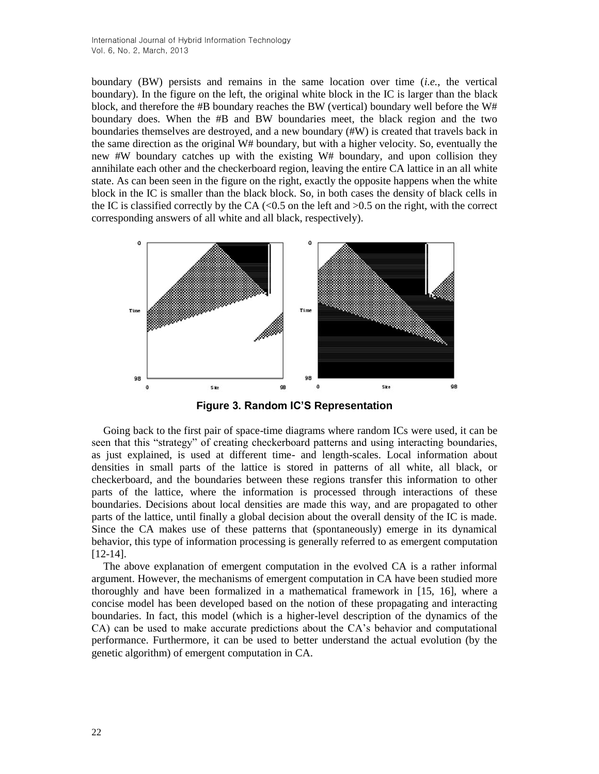boundary (BW) persists and remains in the same location over time (*i.e.*, the vertical boundary). In the figure on the left, the original white block in the IC is larger than the black block, and therefore the #B boundary reaches the BW (vertical) boundary well before the W# boundary does. When the #B and BW boundaries meet, the black region and the two boundaries themselves are destroyed, and a new boundary (#W) is created that travels back in the same direction as the original W# boundary, but with a higher velocity. So, eventually the new #W boundary catches up with the existing W# boundary, and upon collision they annihilate each other and the checkerboard region, leaving the entire CA lattice in an all white state. As can been seen in the figure on the right, exactly the opposite happens when the white block in the IC is smaller than the black block. So, in both cases the density of black cells in the IC is classified correctly by the CA  $\langle$ <0.5 on the left and  $>$ 0.5 on the right, with the correct corresponding answers of all white and all black, respectively).



**Figure 3. Random IC'S Representation**

Going back to the first pair of space-time diagrams where random ICs were used, it can be seen that this "strategy" of creating checkerboard patterns and using interacting boundaries, as just explained, is used at different time- and length-scales. Local information about densities in small parts of the lattice is stored in patterns of all white, all black, or checkerboard, and the boundaries between these regions transfer this information to other parts of the lattice, where the information is processed through interactions of these boundaries. Decisions about local densities are made this way, and are propagated to other parts of the lattice, until finally a global decision about the overall density of the IC is made. Since the CA makes use of these patterns that (spontaneously) emerge in its dynamical behavior, this type of information processing is generally referred to as emergent computation [12-14].

The above explanation of emergent computation in the evolved CA is a rather informal argument. However, the mechanisms of emergent computation in CA have been studied more thoroughly and have been formalized in a mathematical framework in [15, 16], where a concise model has been developed based on the notion of these propagating and interacting boundaries. In fact, this model (which is a higher-level description of the dynamics of the CA) can be used to make accurate predictions about the CA's behavior and computational performance. Furthermore, it can be used to better understand the actual evolution (by the genetic algorithm) of emergent computation in CA.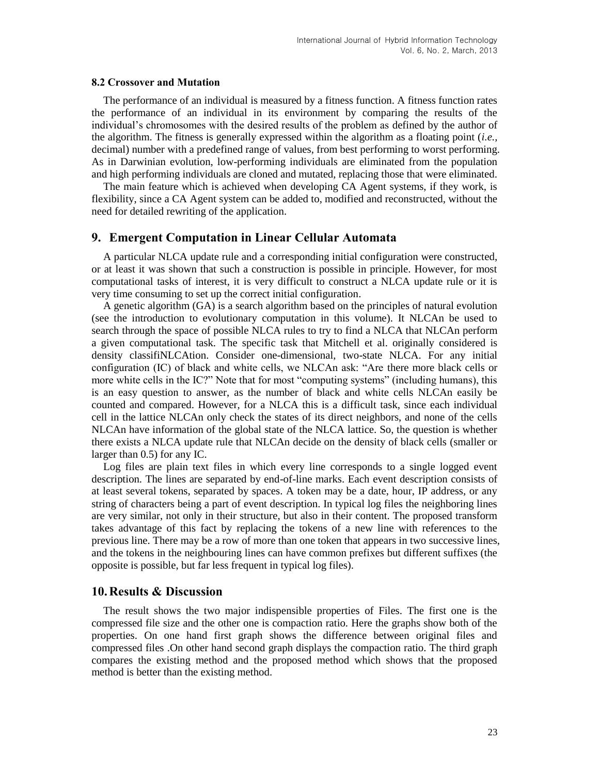#### **8.2 Crossover and Mutation**

The performance of an individual is measured by a fitness function. A fitness function rates the performance of an individual in its environment by comparing the results of the individual's chromosomes with the desired results of the problem as defined by the author of the algorithm. The fitness is generally expressed within the algorithm as a floating point (*i.e.*, decimal) number with a predefined range of values, from best performing to worst performing. As in Darwinian evolution, low-performing individuals are eliminated from the population and high performing individuals are cloned and mutated, replacing those that were eliminated.

The main feature which is achieved when developing CA Agent systems, if they work, is flexibility, since a CA Agent system can be added to, modified and reconstructed, without the need for detailed rewriting of the application.

### **9. Emergent Computation in Linear Cellular Automata**

A particular NLCA update rule and a corresponding initial configuration were constructed, or at least it was shown that such a construction is possible in principle. However, for most computational tasks of interest, it is very difficult to construct a NLCA update rule or it is very time consuming to set up the correct initial configuration.

A genetic algorithm (GA) is a search algorithm based on the principles of natural evolution (see the introduction to evolutionary computation in this volume). It NLCAn be used to search through the space of possible NLCA rules to try to find a NLCA that NLCAn perform a given computational task. The specific task that Mitchell et al. originally considered is density classifiNLCAtion. Consider one-dimensional, two-state NLCA. For any initial configuration (IC) of black and white cells, we NLCAn ask: "Are there more black cells or more white cells in the IC?" Note that for most "computing systems" (including humans), this is an easy question to answer, as the number of black and white cells NLCAn easily be counted and compared. However, for a NLCA this is a difficult task, since each individual cell in the lattice NLCAn only check the states of its direct neighbors, and none of the cells NLCAn have information of the global state of the NLCA lattice. So, the question is whether there exists a NLCA update rule that NLCAn decide on the density of black cells (smaller or larger than 0.5) for any IC.

Log files are plain text files in which every line corresponds to a single logged event description. The lines are separated by end-of-line marks. Each event description consists of at least several tokens, separated by spaces. A token may be a date, hour, IP address, or any string of characters being a part of event description. In typical log files the neighboring lines are very similar, not only in their structure, but also in their content. The proposed transform takes advantage of this fact by replacing the tokens of a new line with references to the previous line. There may be a row of more than one token that appears in two successive lines, and the tokens in the neighbouring lines can have common prefixes but different suffixes (the opposite is possible, but far less frequent in typical log files).

### **10.Results & Discussion**

The result shows the two major indispensible properties of Files. The first one is the compressed file size and the other one is compaction ratio. Here the graphs show both of the properties. On one hand first graph shows the difference between original files and compressed files .On other hand second graph displays the compaction ratio. The third graph compares the existing method and the proposed method which shows that the proposed method is better than the existing method.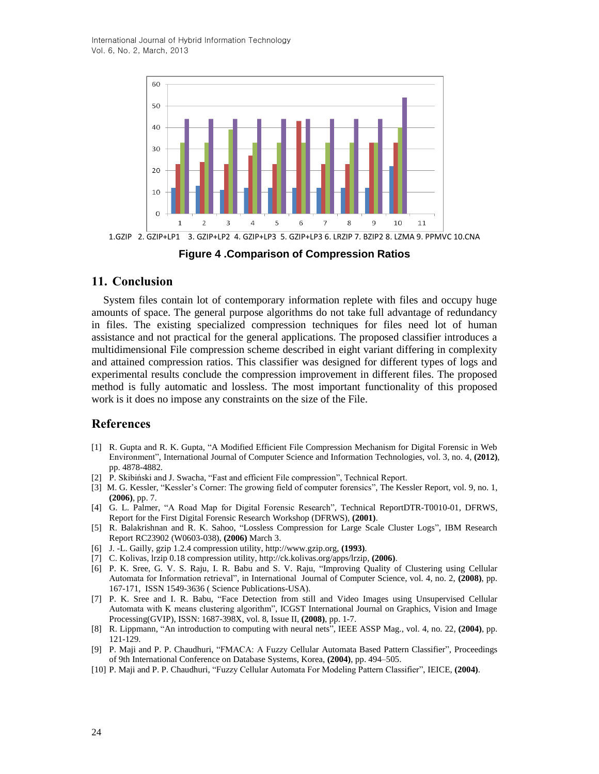International Journal of Hybrid Information Technology Vol. 6, No. 2, March, 2013



**Figure 4 .Comparison of Compression Ratios**

### **11. Conclusion**

System files contain lot of contemporary information replete with files and occupy huge amounts of space. The general purpose algorithms do not take full advantage of redundancy in files. The existing specialized compression techniques for files need lot of human assistance and not practical for the general applications. The proposed classifier introduces a multidimensional File compression scheme described in eight variant differing in complexity and attained compression ratios. This classifier was designed for different types of logs and experimental results conclude the compression improvement in different files. The proposed method is fully automatic and lossless. The most important functionality of this proposed work is it does no impose any constraints on the size of the File.

### **References**

- [1] R. Gupta and R. K. Gupta, "A Modified Efficient File Compression Mechanism for Digital Forensic in Web Environment", International Journal of Computer Science and Information Technologies, vol. 3, no. 4, **(2012)**, pp. 4878-4882.
- [2] P. Skibiński and J. Swacha, "Fast and efficient File compression", Technical Report.
- [3] M. G. Kessler, "Kessler's Corner: The growing field of computer forensics", The Kessler Report, vol. 9, no. 1, **(2006)**, pp. 7.
- [4] G. L. Palmer, "A Road Map for Digital Forensic Research", Technical ReportDTR-T0010-01, DFRWS, Report for the First Digital Forensic Research Workshop (DFRWS), **(2001)**.
- [5] R. Balakrishnan and R. K. Sahoo, "Lossless Compression for Large Scale Cluster Logs", IBM Research Report RC23902 (W0603-038), **(2006)** March 3.
- [6] J. -L. Gailly, gzip 1.2.4 compression utility, http://www.gzip.org, **(1993)**.
- [7] C. Kolivas, lrzip 0.18 compression utility, http://ck.kolivas.org/apps/lrzip, **(2006)**.
- [6] P. K. Sree, G. V. S. Raju, I. R. Babu and S. V. Raju, "Improving Quality of Clustering using Cellular Automata for Information retrieval", in International Journal of Computer Science, vol. 4, no. 2, **(2008)**, pp. 167-171, ISSN 1549-3636 ( Science Publications-USA).
- [7] P. K. Sree and I. R. Babu, "Face Detection from still and Video Images using Unsupervised Cellular Automata with K means clustering algorithm", ICGST International Journal on Graphics, Vision and Image Processing(GVIP), ISSN: 1687-398X, vol. 8, Issue II, **(2008)**, pp. 1-7.
- [8] R. Lippmann, "An introduction to computing with neural nets", IEEE ASSP Mag., vol. 4, no. 22, **(2004)**, pp. 121-129.
- [9] P. Maji and P. P. Chaudhuri, "FMACA: A Fuzzy Cellular Automata Based Pattern Classifier", Proceedings of 9th International Conference on Database Systems, Korea, **(2004)**, pp. 494–505.
- [10] P. Maji and P. P. Chaudhuri, "Fuzzy Cellular Automata For Modeling Pattern Classifier", IEICE, **(2004)**.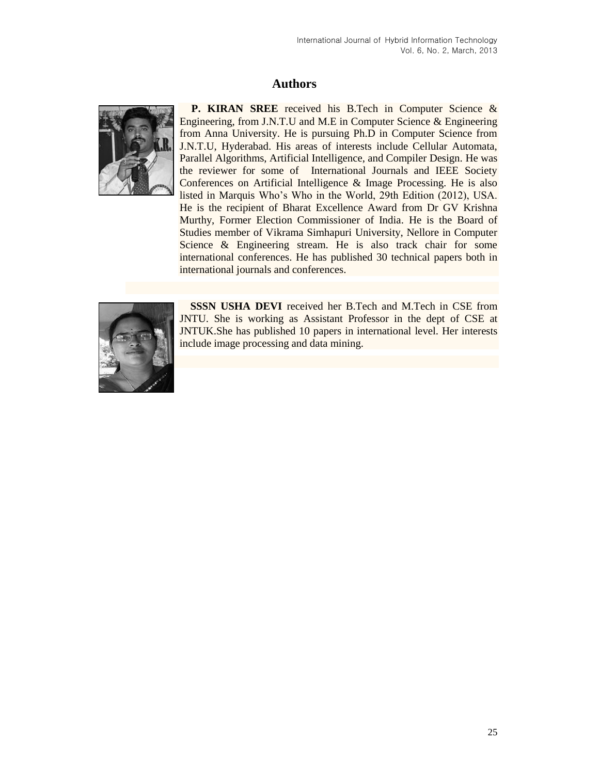## **Authors**



**P. [KIRAN SREE](http://www.kiransree.blogspot.com/)** received his B.Tech in Computer Science & Engineering, from J.N.T.U and M.E in Computer Science & Engineering from Anna University. He is pursuing Ph.D in Computer Science from J.N.T.U, Hyderabad. His areas of interests include Cellular Automata, Parallel Algorithms, Artificial Intelligence, and Compiler Design. He was the reviewer for some of International Journals and IEEE Society Conferences on Artificial Intelligence & Image Processing. He is also listed in Marquis Who's Who in the World, 29th Edition (2012), USA. He is the recipient of Bharat Excellence Award from Dr GV Krishna Murthy, Former Election Commissioner of India. He is the Board of Studies member of Vikrama Simhapuri University, Nellore in Computer Science & Engineering stream. He is also track chair for some international conferences. He has published 30 technical papers both in international journals and conferences.



**SSSN USHA DEVI** received her B.Tech and M.Tech in CSE from JNTU. She is working as Assistant Professor in the dept of CSE at JNTUK.She has published 10 papers in international level. Her interests include image processing and data mining.